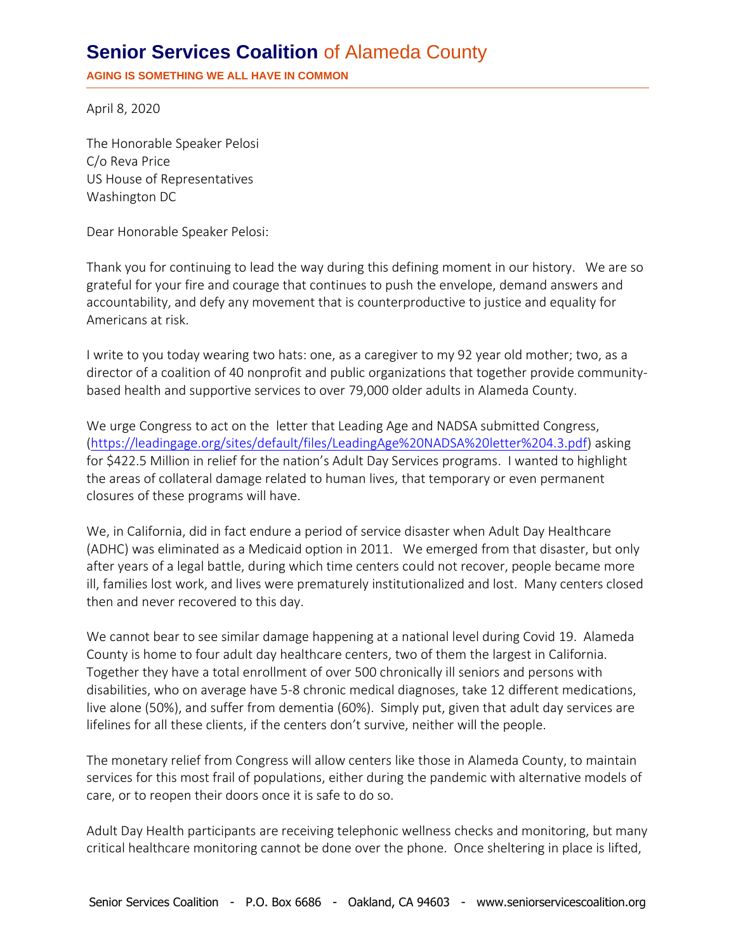## **Senior Services Coalition** of Alameda County

**AGING IS SOMETHING WE ALL HAVE IN COMMON**

April 8, 2020

The Honorable Speaker Pelosi C/o Reva Price US House of Representatives Washington DC

Dear Honorable Speaker Pelosi:

Thank you for continuing to lead the way during this defining moment in our history. We are so grateful for your fire and courage that continues to push the envelope, demand answers and accountability, and defy any movement that is counterproductive to justice and equality for Americans at risk.

I write to you today wearing two hats: one, as a caregiver to my 92 year old mother; two, as a director of a coalition of 40 nonprofit and public organizations that together provide communitybased health and supportive services to over 79,000 older adults in Alameda County.

We urge Congress to act on the letter that Leading Age and NADSA submitted Congress, [\(https://leadingage.org/sites/default/files/LeadingAge%20NADSA%20letter%204.3.pdf\)](https://leadingage.org/sites/default/files/LeadingAge%20NADSA%20letter%204.3.pdf) asking for \$422.5 Million in relief for the nation's Adult Day Services programs. I wanted to highlight the areas of collateral damage related to human lives, that temporary or even permanent closures of these programs will have.

We, in California, did in fact endure a period of service disaster when Adult Day Healthcare (ADHC) was eliminated as a Medicaid option in 2011. We emerged from that disaster, but only after years of a legal battle, during which time centers could not recover, people became more ill, families lost work, and lives were prematurely institutionalized and lost. Many centers closed then and never recovered to this day.

We cannot bear to see similar damage happening at a national level during Covid 19. Alameda County is home to four adult day healthcare centers, two of them the largest in California. Together they have a total enrollment of over 500 chronically ill seniors and persons with disabilities, who on average have 5-8 chronic medical diagnoses, take 12 different medications, live alone (50%), and suffer from dementia (60%). Simply put, given that adult day services are lifelines for all these clients, if the centers don't survive, neither will the people.

The monetary relief from Congress will allow centers like those in Alameda County, to maintain services for this most frail of populations, either during the pandemic with alternative models of care, or to reopen their doors once it is safe to do so.

Adult Day Health participants are receiving telephonic wellness checks and monitoring, but many critical healthcare monitoring cannot be done over the phone. Once sheltering in place is lifted,